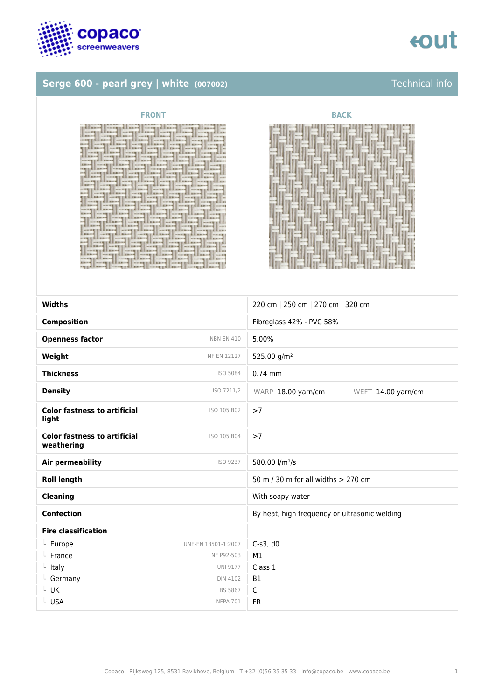



### **Serge 600 - pearl grey | white (007002)** Technical info

| <b>FRONT</b>                                                                                                                                                                                                                                                                                                                                                                                                                                                                                                                                                                                                                                                                                                                                                                                                                                                                                                                                                                                                                                                                                                                                                                                                                                                                                                                                                                                                                                                                                                                                                                                                                                                                                                                                                                                                                                                                                                                                                                                                                                                                                                                                                                                                                                                                                                                                                                                                                                                                                                                                                                                                                                                                 | BACK                                                                                                                                                                                                                                                                                                                                                                                                                                                                                                                                                                                                                                                                                                                                                                                                                                                                                                                                                                                                                                                                                                                                                                                                                                                                                                                                                                                                                                                                                                                                                                                                    |
|------------------------------------------------------------------------------------------------------------------------------------------------------------------------------------------------------------------------------------------------------------------------------------------------------------------------------------------------------------------------------------------------------------------------------------------------------------------------------------------------------------------------------------------------------------------------------------------------------------------------------------------------------------------------------------------------------------------------------------------------------------------------------------------------------------------------------------------------------------------------------------------------------------------------------------------------------------------------------------------------------------------------------------------------------------------------------------------------------------------------------------------------------------------------------------------------------------------------------------------------------------------------------------------------------------------------------------------------------------------------------------------------------------------------------------------------------------------------------------------------------------------------------------------------------------------------------------------------------------------------------------------------------------------------------------------------------------------------------------------------------------------------------------------------------------------------------------------------------------------------------------------------------------------------------------------------------------------------------------------------------------------------------------------------------------------------------------------------------------------------------------------------------------------------------------------------------------------------------------------------------------------------------------------------------------------------------------------------------------------------------------------------------------------------------------------------------------------------------------------------------------------------------------------------------------------------------------------------------------------------------------------------------------------------------|---------------------------------------------------------------------------------------------------------------------------------------------------------------------------------------------------------------------------------------------------------------------------------------------------------------------------------------------------------------------------------------------------------------------------------------------------------------------------------------------------------------------------------------------------------------------------------------------------------------------------------------------------------------------------------------------------------------------------------------------------------------------------------------------------------------------------------------------------------------------------------------------------------------------------------------------------------------------------------------------------------------------------------------------------------------------------------------------------------------------------------------------------------------------------------------------------------------------------------------------------------------------------------------------------------------------------------------------------------------------------------------------------------------------------------------------------------------------------------------------------------------------------------------------------------------------------------------------------------|
| and the company of the control of the company of the company of the company of the company of the company of the company of the company of the company of the company of the company of the company of the company of the comp<br>TELESSE CONTROLLERS CONTROLLERS CONTROLLERS<br>and particles of the contract of the contract of the contract of the contract of the contract of the contract of the contract of the contract of the contract of the contract of the contract of the contract of the contract<br>E BRITT   HISTORICAL REAL   HISTORICAL BRITTING   HISTORICAL BRITTING<br>b one control at the control of the second control in the control of the control of the control of the control of the control of the control of the control of the control of the control of the control of the control of th<br>整整,后来我的心境是以此来就重庆后我的心境是从此世界学家已出现心境是此外的重重,在东南的心境是以<br>19   1920年12月12日12月   1922年12月   1922年   1922年   1922年   1922年   1923年   1923<br>ELERNE CONFERENCE ON 18 EEERS CONFERENCE ONLY<br>化双环酸 医前方 医神经性 化双环酸盐 医马斯斯坦曼 化双亚硝丁酸汞苯酚双噻 医双状发生发射或射线<br>ERING ] work the provided and I to the line of I work the presence I would be<br>《新生前》 Albert   content   K.I. Elbert   content   K.I. Elbert   content   K.I. Elbert<br>2.周年周期的时候 2.000 XXX 2.000 XXX 2.000 XXX 2.000 XXX 2.000 XXX 2.000 XXX 2.000 XXX 2.000 XXX 2.000 XXX 2.000 XXX 2<br>and a competition of the competition of the competition of the competition of<br>I gave computations computed that computes the com-<br>11. 《新聞書本集集》 11. 《中国書本集本集集》 11. 《中国書本集》 11. 《中国書本集》 11. 《中国書本集本集本集》 11. 《中国書本集本集本集本集本集本集本集本集本集本集本集本集<br>各个中,小叶大概会最紧张的一样,小叶大便了我正在的一样,小叶大便才感到到那个中,小叶大便生成<br>第2066年8月11日,11月28日,第206日,11月28日,11月28日,11月28日,11月28日,11月28日,11月28日,11月28日,11月28日,<br>A.S. A.B. - 4   2012   2012   2013   2014   2015   2014   2015   2016   2016   2016   2016   2016   2016   201<br>NOTES EX RENE   NOTES EX NEWS   NOTES EX RENE   NOTES EX RENT<br>《唐兰图》的《10】 11.01.03   图3.83.01   11.01.02   图3.83.01   11.01.02   图3.83.01   12.01.02<br>2018年,2022年的第三届新江省第二大发展宣言员务副政府第二人的发展宣言员委副协会(2022年宣言)<br>【小双粒等等后来起来啊】小双粒等后后朝起来啊】小双粒等等后后起来啊!小双粒等方后来起来<br>2 Short   west   El Bhort   west   El Bhort   west   El Bhort   west  <br>and weightighted with these localities in this<br><b>CORRENT CONSERVATION IN A REPORT OF A REPORT OF A REPORT OF A REPORT OF A REPORT OF A REPORT OF A REPORT OF A REPORT OF A REPORT OF A REPORT OF A REPORT OF A REPORT OF A REPORT OF A REPORT OF A REPORT OF A REPORT OF A REP</b><br>11、小小天然生前是南阳地区,小小天然生前已出来的情。 以此大能生在之面积的地区,以以大能生在之前的<br>ELERN CONTRACT CLEANS CONTRACT OF A RESIDENCE<br>化双苯胺 化氧化铝 医心脏 化双环聚合物 医氯化铵 医双叶状囊 医前方面和心室 医双叶皮 医前方面的一个 | 111 Up 61 0 1 1 --<br><b>CERTIFICATE</b><br>$r_1 = 1$<br><b>ITAL Commission Commission</b><br>$11 - 11 - 11 - 11 - 11 - 11 - 11$<br>EEKARE I - - 1   EEKARE     - - 1     F<br>$-111$<br>$ v_1 $ $ v_2 $ $ v_3 $ $ v_4 $ $ v_5 $ $ v_6 $<br><b>Here I see Head of Figure 11</b><br>dispertised in the company<br>$1011$ $-111111$ $-111111$<br>$1122411 - 4111221111 - 411$<br>$11 - 411 - 121$<br>$\frac{1}{2}$ $\frac{1}{2}$ $\frac{1}{2}$ $\frac{1}{2}$ $\frac{1}{2}$ $\frac{1}{2}$ $\frac{1}{2}$ $\frac{1}{2}$ $\frac{1}{2}$ $\frac{1}{2}$ $\frac{1}{2}$ $\frac{1}{2}$ $\frac{1}{2}$ $\frac{1}{2}$ $\frac{1}{2}$ $\frac{1}{2}$ $\frac{1}{2}$ $\frac{1}{2}$ $\frac{1}{2}$ $\frac{1}{2}$ $\frac{1}{2}$ $\frac{1}{2}$<br><b>GER I was a greater of the case of</b><br>$-111111111111111111111$<br>$-1$   $-1$   $-1$   $-1$   $-1$   $-1$   $-1$<br>$11 - 11$<br><b>Company of Contract Company</b><br>$\frac{1}{2}$<br>$-1111111 - 1111111$<br>$1 - 10000411 - 000044$<br><b>THERE IS and I seeked there</b><br>$0.1$   $-1$   $-1$   $-1$   $-1$   $-1$   $-1$   $-1$   $-1$   $-1$   $-1$   $-1$   $-1$   $-1$   $-1$   $-1$   $-1$   $-1$   $-1$   $-1$   $-1$   $-1$   $-1$   $-1$   $-1$   $-1$   $-1$   $-1$   $-1$   $-1$   $-1$   $-1$<br>and I send the of I sended them<br>$1101411 - 11101111111 - 111011$<br>$-1$ . The contract $\left( 1 - 1 \right)$ is the contract of the contract of the contract of the contract of the contract of the contract of the contract of the contract of the contract of the contract of the contract of the cont<br><b>BEATERS-10 BEATERS IN -- 11</b> |
| 再新计模 意如此指笔名后来再出境 意如此来笔 生蛋 民族和印蜡 美加以拉塞 乳浆浆和制作 美加以拉塞卡语<br>centimed containing containing containing                                                                                                                                                                                                                                                                                                                                                                                                                                                                                                                                                                                                                                                                                                                                                                                                                                                                                                                                                                                                                                                                                                                                                                                                                                                                                                                                                                                                                                                                                                                                                                                                                                                                                                                                                                                                                                                                                                                                                                                                                                                                                                                                                                                                                                                                                                                                                                                                                                                                                                                                                                            |                                                                                                                                                                                                                                                                                                                                                                                                                                                                                                                                                                                                                                                                                                                                                                                                                                                                                                                                                                                                                                                                                                                                                                                                                                                                                                                                                                                                                                                                                                                                                                                                         |



| <b>Widths</b>                                     |                     | 220 cm   250 cm   270 cm   320 cm             |
|---------------------------------------------------|---------------------|-----------------------------------------------|
| <b>Composition</b>                                |                     | Fibreglass 42% - PVC 58%                      |
| <b>Openness factor</b>                            | <b>NBN EN 410</b>   | 5.00%                                         |
| Weight                                            | <b>NF EN 12127</b>  | 525.00 g/m <sup>2</sup>                       |
| <b>Thickness</b>                                  | ISO 5084            | $0.74$ mm                                     |
| <b>Density</b>                                    | ISO 7211/2          | WARP 18.00 yarn/cm<br>WEFT 14.00 yarn/cm      |
| <b>Color fastness to artificial</b><br>light      | ISO 105 B02         | >7                                            |
| <b>Color fastness to artificial</b><br>weathering | ISO 105 B04         | >7                                            |
| <b>Air permeability</b>                           | ISO 9237            | 580.00 l/m <sup>2</sup> /s                    |
| <b>Roll length</b>                                |                     | 50 m $/$ 30 m for all widths $>$ 270 cm       |
| <b>Cleaning</b>                                   |                     | With soapy water                              |
| <b>Confection</b>                                 |                     | By heat, high frequency or ultrasonic welding |
| <b>Fire classification</b>                        |                     |                                               |
| $L$ Europe                                        | UNE-EN 13501-1:2007 | $C-s3$ , d $0$                                |
| $L$ France                                        | NF P92-503          | M1                                            |
| $L$ Italy                                         | <b>UNI 9177</b>     | Class 1                                       |
| L Germany                                         | <b>DIN 4102</b>     | <b>B1</b>                                     |
| Γ NK                                              | <b>BS 5867</b>      | C                                             |
| L USA                                             | <b>NFPA 701</b>     | <b>FR</b>                                     |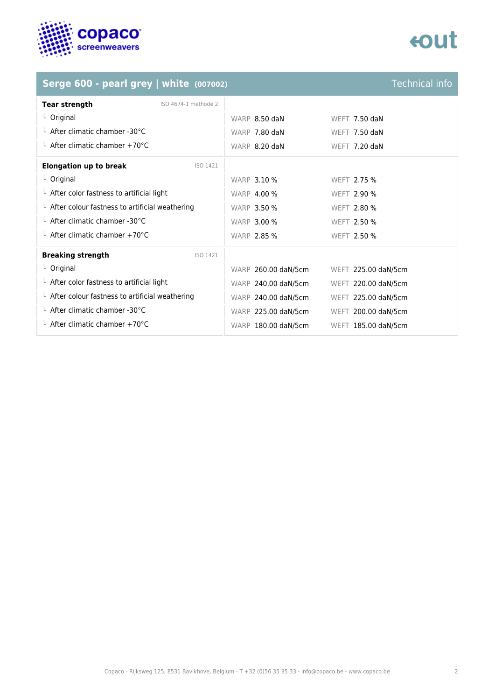

## tout

## **Serge 600 - pearl grey | white (007002)** Technical info

| Tear strength<br>ISO 4674-1 methode 2                  |                                            |
|--------------------------------------------------------|--------------------------------------------|
| $L$ Original                                           | WARP 8.50 daN<br>WEFT 7.50 daN             |
| $\perp$ After climatic chamber -30°C                   | WARP 7.80 daN<br>WEFT 7.50 daN             |
| $\perp$ After climatic chamber +70°C                   | WARP 8.20 daN<br>WEFT 7.20 daN             |
| <b>Elongation up to break</b><br>ISO 1421              |                                            |
| $L$ Original                                           | <b>WARP 3.10 %</b><br><b>WEFT 2.75 %</b>   |
| $L$ After color fastness to artificial light           | <b>WARP 4.00 %</b><br><b>WEFT 2.90 %</b>   |
| $\perp$ After colour fastness to artificial weathering | <b>WARP 3.50 %</b><br>WEFT 2.80 %          |
| L After climatic chamber -30°C                         | <b>WARP 3.00 %</b><br>WEFT 2.50 %          |
| $\perp$ After climatic chamber +70°C                   | <b>WARP 2.85 %</b><br><b>WEFT 2.50 %</b>   |
| <b>Breaking strength</b><br>ISO 1421                   |                                            |
| $L$ Original                                           | WARP 260.00 daN/5cm<br>WEFT 225.00 daN/5cm |
| $\perp$ After color fastness to artificial light       | WARP 240.00 daN/5cm<br>WEFT 220.00 daN/5cm |
| $\perp$ After colour fastness to artificial weathering | WARP 240.00 daN/5cm<br>WEFT 225.00 daN/5cm |
| $\perp$ After climatic chamber -30°C                   | WARP 225.00 daN/5cm<br>WEFT 200.00 daN/5cm |
| $\perp$ After climatic chamber +70°C                   | WARP 180.00 daN/5cm<br>WEFT 185.00 daN/5cm |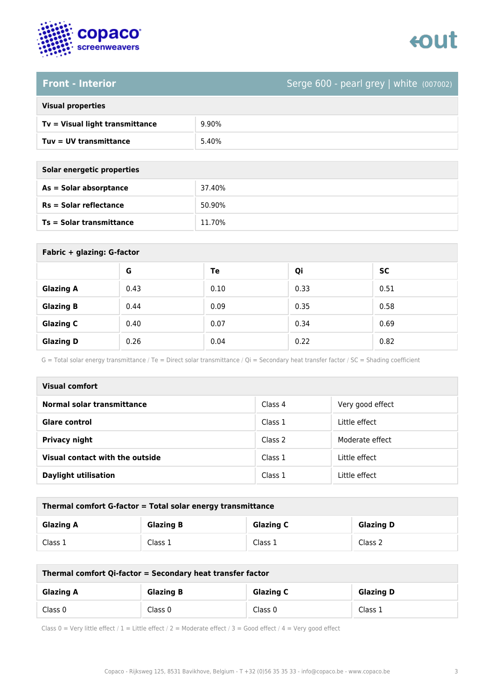

### **Front - Interior** Serge 600 - pearl grey | white (007002)

| <b>Visual properties</b> |  |
|--------------------------|--|
|                          |  |

| Tv = Visual light transmittance | 9.90% |
|---------------------------------|-------|
| Tuv = UV transmittance          | 5.40% |

**As = Solar absorptance** 37.40%

**Rs = Solar reflectance** 50.90%

| Solar energetic properties |
|----------------------------|
| As = Solar absorptance     |
| $Rs = Solar$ reflectance   |

**Ts = Solar transmittance** 11.70%

| Fabric + glazing: G-factor |      |      |      |           |
|----------------------------|------|------|------|-----------|
|                            | G    | Te   | Qi   | <b>SC</b> |
| <b>Glazing A</b>           | 0.43 | 0.10 | 0.33 | 0.51      |
| <b>Glazing B</b>           | 0.44 | 0.09 | 0.35 | 0.58      |
| <b>Glazing C</b>           | 0.40 | 0.07 | 0.34 | 0.69      |
| <b>Glazing D</b>           | 0.26 | 0.04 | 0.22 | 0.82      |

G = Total solar energy transmittance / Te = Direct solar transmittance / Qi = Secondary heat transfer factor / SC = Shading coefficient

| Visual comfort                  |         |                  |
|---------------------------------|---------|------------------|
| Normal solar transmittance      | Class 4 | Very good effect |
| <b>Glare control</b>            | Class 1 | Little effect    |
| <b>Privacy night</b>            | Class 2 | Moderate effect  |
| Visual contact with the outside | Class 1 | Little effect    |
| <b>Daylight utilisation</b>     | Class 1 | Little effect    |

| Thermal comfort G-factor = Total solar energy transmittance |                  |                  |                  |
|-------------------------------------------------------------|------------------|------------------|------------------|
| <b>Glazing A</b>                                            | <b>Glazing B</b> | <b>Glazing C</b> | <b>Glazing D</b> |
| Class 1                                                     | Class 1          | Class 1          | Class 2          |

| Thermal comfort Qi-factor = Secondary heat transfer factor |                  |                  |                  |
|------------------------------------------------------------|------------------|------------------|------------------|
| <b>Glazing A</b>                                           | <b>Glazing B</b> | <b>Glazing C</b> | <b>Glazing D</b> |
| Class 0                                                    | Class 0          | Class 0          | Class 1          |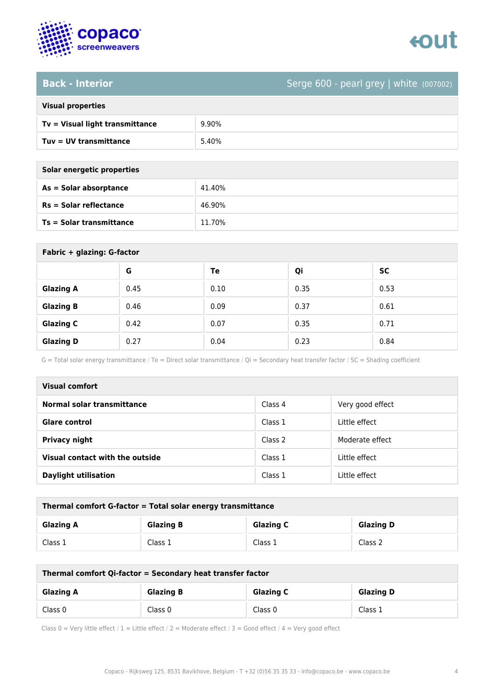

### **Back - Interior** Serge 600 - pearl grey | white (007002)

| <b>Visual properties</b> |  |
|--------------------------|--|
|                          |  |

| Tv = Visual light transmittance | 9.90% |
|---------------------------------|-------|
| Tuv = UV transmittance          | 5.40% |

| Solar energetic properties |  |
|----------------------------|--|
| As = Solar absorptance     |  |

| <b>Sular effected broperties</b> |        |
|----------------------------------|--------|
| As = Solar absorptance           | 41.40% |
| $Rs = Solar$ reflectance         | 46.90% |
| <b>Ts = Solar transmittance</b>  | 11.70% |

| Fabric + glazing: G-factor |      |      |      |           |
|----------------------------|------|------|------|-----------|
|                            | G    | Te   | Qi   | <b>SC</b> |
| <b>Glazing A</b>           | 0.45 | 0.10 | 0.35 | 0.53      |
| <b>Glazing B</b>           | 0.46 | 0.09 | 0.37 | 0.61      |
| <b>Glazing C</b>           | 0.42 | 0.07 | 0.35 | 0.71      |
| <b>Glazing D</b>           | 0.27 | 0.04 | 0.23 | 0.84      |

G = Total solar energy transmittance / Te = Direct solar transmittance / Qi = Secondary heat transfer factor / SC = Shading coefficient

| Visual comfort                  |         |                  |  |  |
|---------------------------------|---------|------------------|--|--|
| Normal solar transmittance      | Class 4 | Very good effect |  |  |
| <b>Glare control</b>            | Class 1 | Little effect    |  |  |
| Privacy night                   | Class 2 | Moderate effect  |  |  |
| Visual contact with the outside | Class 1 | Little effect    |  |  |
| <b>Daylight utilisation</b>     | Class 1 | Little effect    |  |  |

| Thermal comfort G-factor = Total solar energy transmittance                  |         |         |         |  |
|------------------------------------------------------------------------------|---------|---------|---------|--|
| <b>Glazing C</b><br><b>Glazing B</b><br><b>Glazing D</b><br><b>Glazing A</b> |         |         |         |  |
| Class 1                                                                      | Class 1 | Class 1 | Class 2 |  |

| Thermal comfort Qi-factor = Secondary heat transfer factor                   |         |         |         |  |
|------------------------------------------------------------------------------|---------|---------|---------|--|
| <b>Glazing C</b><br><b>Glazing B</b><br><b>Glazing D</b><br><b>Glazing A</b> |         |         |         |  |
| Class 0                                                                      | Class 0 | Class 0 | Class 1 |  |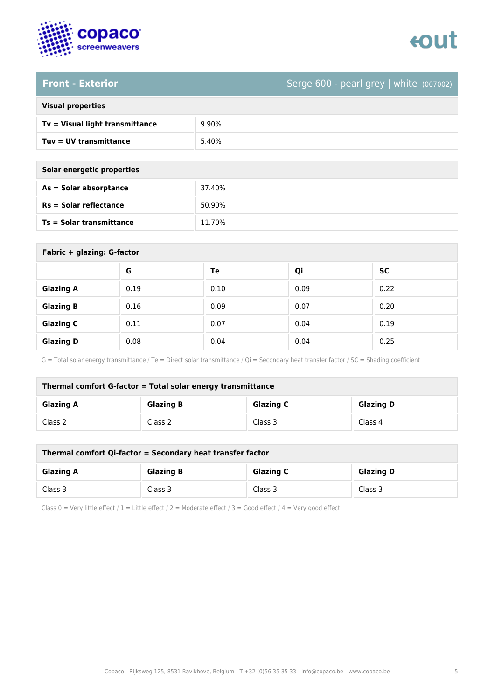

### **Front - Exterior** Serge 600 - pearl grey | white (007002)

| <b>Visual properties</b> |  |  |
|--------------------------|--|--|
|                          |  |  |

| Tv = Visual light transmittance | 9.90% |
|---------------------------------|-------|
| Tuv = UV transmittance          | 5.40% |

**As = Solar absorptance** 37.40%

**Rs = Solar reflectance** 50.90%

| Solar energetic properties |
|----------------------------|
| As = Solar absorptance     |
| $Rs = Solar$ reflectance   |

**Ts = Solar transmittance** 11.70%

| Fabric + glazing: G-factor |      |      |      |           |
|----------------------------|------|------|------|-----------|
|                            | G    | Te   | Qi   | <b>SC</b> |
| <b>Glazing A</b>           | 0.19 | 0.10 | 0.09 | 0.22      |
| <b>Glazing B</b>           | 0.16 | 0.09 | 0.07 | 0.20      |
| <b>Glazing C</b>           | 0.11 | 0.07 | 0.04 | 0.19      |
| <b>Glazing D</b>           | 0.08 | 0.04 | 0.04 | 0.25      |

G = Total solar energy transmittance / Te = Direct solar transmittance / Qi = Secondary heat transfer factor / SC = Shading coefficient

| Thermal comfort G-factor = Total solar energy transmittance                  |         |         |         |  |
|------------------------------------------------------------------------------|---------|---------|---------|--|
| <b>Glazing C</b><br><b>Glazing B</b><br><b>Glazing D</b><br><b>Glazing A</b> |         |         |         |  |
| Class 2                                                                      | Class 2 | Class 3 | Class 4 |  |

| Thermal comfort Qi-factor = Secondary heat transfer factor                   |         |         |         |  |
|------------------------------------------------------------------------------|---------|---------|---------|--|
| <b>Glazing B</b><br><b>Glazing C</b><br><b>Glazing D</b><br><b>Glazing A</b> |         |         |         |  |
| Class 3                                                                      | Class 3 | Class 3 | Class 3 |  |